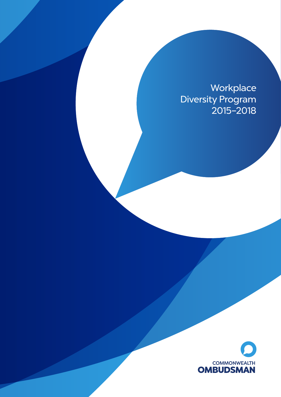# **Workplace** Diversity Program 2015–2018

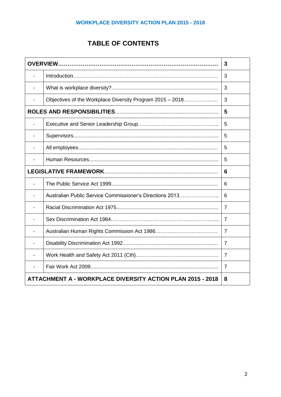# **TABLE OF CONTENTS**

| $\blacksquare$                                             |                                                           | 3              |
|------------------------------------------------------------|-----------------------------------------------------------|----------------|
|                                                            |                                                           | 3              |
|                                                            | Objectives of the Workplace Diversity Program 2015 - 2018 | 3              |
|                                                            |                                                           |                |
|                                                            |                                                           | 5              |
|                                                            |                                                           | 5              |
|                                                            |                                                           | 5              |
|                                                            |                                                           | 5              |
|                                                            |                                                           |                |
|                                                            |                                                           | 6              |
|                                                            | Australian Public Service Commissioner's Directions 2013  | 6              |
|                                                            |                                                           | $\overline{7}$ |
|                                                            |                                                           | $\overline{7}$ |
|                                                            |                                                           | 7              |
| $\blacksquare$                                             |                                                           | 7              |
|                                                            |                                                           | $\overline{7}$ |
| $\overline{a}$                                             |                                                           | 7              |
| ATTACHMENT A - WORKPLACE DIVERSITY ACTION PLAN 2015 - 2018 |                                                           |                |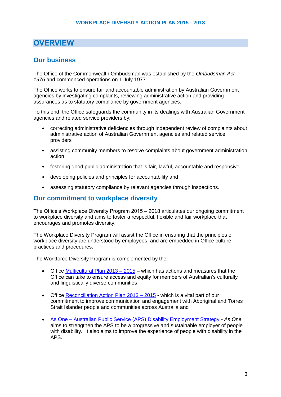# **OVERVIEW**

## **Our business**

 The Office of the Commonwealth Ombudsman was established by the *Ombudsman Act 1976* and commenced operations on 1 July 1977.

 The Office works to ensure fair and accountable administration by Australian Government agencies by investigating complaints, reviewing administrative action and providing assurances as to statutory compliance by government agencies.

 To this end, the Office safeguards the community in its dealings with Australian Government agencies and related service providers by:

- correcting administrative deficiencies through independent review of complaints about administrative action of Australian Government agencies and related service providers
- $\bullet$ assisting community members to resolve complaints about government administration action
- fostering good public administration that is fair, lawful, accountable and responsive
- developing policies and principles for accountability and
- assessing statutory compliance by relevant agencies through inspections.

#### **Our commitment to workplace diversity**

 The Office's Workplace Diversity Program 2015 – 2018 articulates our ongoing commitment to workplace diversity and aims to foster a respectful, flexible and fair workplace that encourages and promotes diversity.

 The Workplace Diversity Program will assist the Office in ensuring that the principles of workplace diversity are understood by employees, and are embedded in Office culture, practices and procedures.

practices and procedures.<br>The Workforce Diversity Program is complemented by the:

- Office **Multicultural Plan 2013 2015** which has actions and measures that the Office can take to ensure access and equity for members of Australian's culturally and linguistically diverse communities
- Office **Reconciliation Action Plan 2013 2015** which is a vital part of our commitment to improve communication and engagement with Aboriginal and Torres Strait Islander people and communities across Australia and
- [As One Australian Public Service \(APS\) Disability Employment Strategy](http://www.apsc.gov.au/disability/as-one) *- As One*  aims to strengthen the APS to be a progressive and sustainable employer of people with disability. It also aims to improve the experience of people with disability in the APS.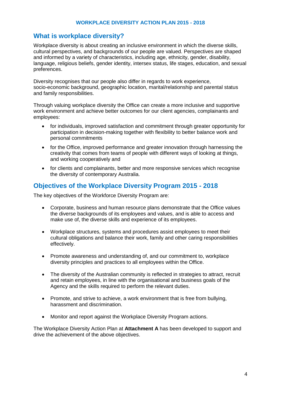# **What is workplace diversity?**

 Workplace diversity is about creating an inclusive environment in which the diverse skills, cultural perspectives, and backgrounds of our people are valued. Perspectives are shaped and informed by a variety of characteristics, including age, ethnicity, gender, disability, language, religious beliefs, gender identity, intersex status, life stages, education, and sexual preferences.

preferences.<br>Diversity recognises that our people also differ in regards to work experience, socio-economic background, geographic location, marital/relationship and parental status and family responsibilities.

 Through valuing workplace diversity the Office can create a more inclusive and supportive work environment and achieve better outcomes for our client agencies, complainants and employees:

- $\bullet$  participation in decision-making together with flexibility to better balance work and for individuals, improved satisfaction and commitment through greater opportunity for personal commitments
- $\bullet$  creativity that comes from teams of people with different ways of looking at things, and working cooperatively and for the Office, improved performance and greater innovation through harnessing the
- $\bullet$  the diversity of contemporary Australia. for clients and complainants, better and more responsive services which recognise

## **Objectives of the Workplace Diversity Program 2015 - 2018**

The key objectives of the Workforce Diversity Program are:

- Corporate, business and human resource plans demonstrate that the Office values the diverse backgrounds of its employees and values, and is able to access and make use of, the diverse skills and experience of its employees.
- Workplace structures, systems and procedures assist employees to meet their cultural obligations and balance their work, family and other caring responsibilities effectively.
- Promote awareness and understanding of, and our commitment to, workplace diversity principles and practices to all employees within the Office.
- $\bullet$  and retain employees, in line with the organisational and business goals of the Agency and the skills required to perform the relevant duties. The diversity of the Australian community is reflected in strategies to attract, recruit
- Promote, and strive to achieve, a work environment that is free from bullying, harassment and discrimination.
- Monitor and report against the Workplace Diversity Program actions.

 The Workplace Diversity Action Plan at **Attachment A** has been developed to support and drive the achievement of the above objectives.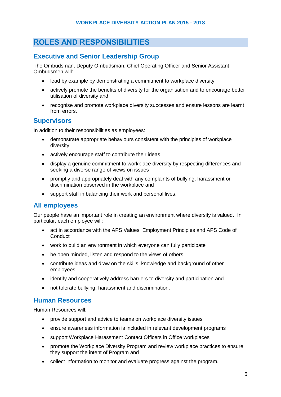# **ROLES AND RESPONSIBILITIES**

# **Executive and Senior Leadership Group**

 The Ombudsman, Deputy Ombudsman, Chief Operating Officer and Senior Assistant Ombudsmen will:

- lead by example by demonstrating a commitment to workplace diversity
- $\bullet$  utilisation of diversity and actively promote the benefits of diversity for the organisation and to encourage better
- recognise and promote workplace diversity successes and ensure lessons are learnt from errors.

# **Supervisors**

In addition to their responsibilities as employees:

- demonstrate appropriate behaviours consistent with the principles of workplace diversity
- actively encourage staff to contribute their ideas
- display a genuine commitment to workplace diversity by respecting differences and seeking a diverse range of views on issues
- $\bullet$  discrimination observed in the workplace and promptly and appropriately deal with any complaints of bullying, harassment or
- $\bullet$ support staff in balancing their work and personal lives.

### **All employees**

 Our people have an important role in creating an environment where diversity is valued. In particular, each employee will:

- act in accordance with the APS Values, Employment Principles and APS Code of **Conduct**
- work to build an environment in which everyone can fully participate
- be open minded, listen and respond to the views of others
- contribute ideas and draw on the skills, knowledge and background of other employees
- $\bullet$ identify and cooperatively address barriers to diversity and participation and
- $\bullet$ not tolerate bullying, harassment and discrimination.

### **Human Resources**

Human Resources will:

- $\bullet$ provide support and advice to teams on workplace diversity issues
- ensure awareness information is included in relevant development programs
- support Workplace Harassment Contact Officers in Office workplaces
- promote the Workplace Diversity Program and review workplace practices to ensure they support the intent of Program and
- collect information to monitor and evaluate progress against the program.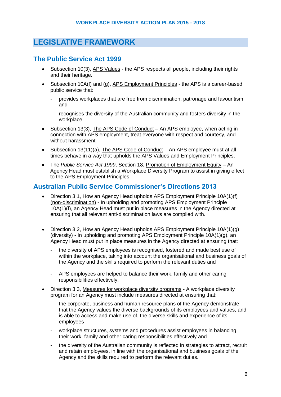# **LEGISLATIVE FRAMEWORK**

### **The Public Service Act 1999**

- Subsection 10(3), APS Values the APS respects all people, including their rights and their heritage.
- Subsection 10A(f) and (g), APS Employment Principles the APS is a career-based public service that:
	- - provides workplaces that are free from discrimination, patronage and favouritism and
	- - recognises the diversity of the Australian community and fosters diversity in the workplace.
- Subsection 13(3), The APS Code of Conduct An APS employee, when acting in connection with APS employment, treat everyone with respect and courtesy, and without harassment.
- Subsection 13(11)(a), The APS Code of Conduct An APS employee must at all times behave in a way that upholds the APS Values and Employment Principles.
- The *Public Service Act 1999*, Section 18, Promotion of Employment Equity An Agency Head must establish a Workplace Diversity Program to assist in giving effect to the APS Employment Principles.

# **Australian Public Service Commissioner's Directions 2013**

- Direction 3.1, How an Agency Head upholds APS Employment Principle 10A(1)(f) (non-discrimination) - In upholding and promoting APS Employment Principle 10A(1)(f), an Agency Head must put in place measures in the Agency directed at ensuring that all relevant anti-discrimination laws are complied with.
- Direction 3.2, How an Agency Head upholds APS Employment Principle 10A(1)(g) (diversity) - In upholding and promoting APS Employment Principle 10A(1)(g), an Agency Head must put in place measures in the Agency directed at ensuring that:
	- $\overline{a}$  within the workplace, taking into account the organisational and business goals of the Agency and the skills required to perform the relevant duties and the diversity of APS employees is recognised, fostered and made best use of
	- APS employees are helped to balance their work, family and other caring responsibilities effectively.
- Direction 3.3, Measures for workplace diversity programs *-* A workplace diversity program for an Agency must include measures directed at ensuring that:
	- $\overline{a}$  that the Agency values the diverse backgrounds of its employees and values, and is able to access and make use of, the diverse skills and experience of its the corporate, business and human resource plans of the Agency demonstrate employees
	- - workplace structures, systems and procedures assist employees in balancing their work, family and other caring responsibilities effectively and
	- $\mathbf{L}^{\text{max}}$  and retain employees, in line with the organisational and business goals of the Agency and the skills required to perform the relevant duties. the diversity of the Australian community is reflected in strategies to attract, recruit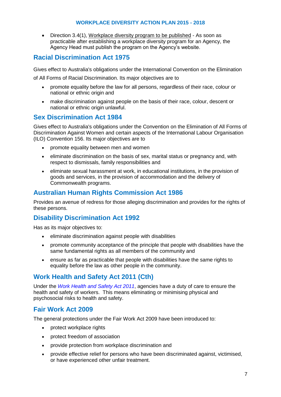• Direction 3.4(1), Workplace diversity program to be published - As soon as practicable after establishing a workplace diversity program for an Agency, the Agency Head must publish the program on the Agency's website.

# **Racial Discrimination Act 1975**

Gives effect to Australia's obligations under the International Convention on the Elimination

of All Forms of Racial Discrimination. Its major objectives are to

- promote equality before the law for all persons, regardless of their race, colour or national or ethnic origin and
- make discrimination against people on the basis of their race, colour, descent or national or ethnic origin unlawful.

# **Sex Discrimination Act 1984**

 Gives effect to Australia's obligations under the Convention on the Elimination of All Forms of Discrimination Against Women and certain aspects of the International Labour Organisation (ILO) Convention 156. Its major objectives are to

- promote equality between men and women
- eliminate discrimination on the basis of sex, marital status or pregnancy and, with respect to dismissals, family responsibilities and
- eliminate sexual harassment at work, in educational institutions, in the provision of goods and services, in the provision of accommodation and the delivery of Commonwealth programs.

# **Australian Human Rights Commission Act 1986**

 Provides an avenue of redress for those alleging discrimination and provides for the rights of these persons.

# **Disability Discrimination Act 1992**

Has as its major objectives to:

- eliminate discrimination against people with disabilities
- promote community acceptance of the principle that people with disabilities have the same fundamental rights as all members of the community and
- ensure as far as practicable that people with disabilities have the same rights to equality before the law as other people in the community.

# **Work Health and Safety Act 2011 (Cth)**

 Under the *[Work Health and Safety Act 2011](http://www.comlaw.gov.au/Details/C2011A00137/rss)*, agencies have a duty of care to ensure the health and safety of workers. This means eliminating or minimising physical and psychosocial risks to health and safety.

### **Fair Work Act 2009**

The general protections under the Fair Work Act 2009 have been introduced to:

- protect workplace rights
- protect freedom of association
- provide protection from workplace discrimination and
- provide effective relief for persons who have been discriminated against, victimised, or have experienced other unfair treatment.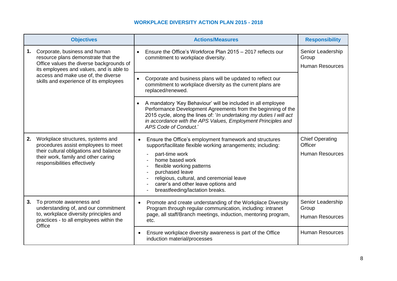| <b>Objectives</b> |                                                                                                                                                                                                                                               | <b>Actions/Measures</b>                                                                                                                                                                                                                                                                                                                          | <b>Responsibility</b>                                       |
|-------------------|-----------------------------------------------------------------------------------------------------------------------------------------------------------------------------------------------------------------------------------------------|--------------------------------------------------------------------------------------------------------------------------------------------------------------------------------------------------------------------------------------------------------------------------------------------------------------------------------------------------|-------------------------------------------------------------|
| 1.                | Corporate, business and human<br>resource plans demonstrate that the<br>Office values the diverse backgrounds of<br>its employees and values, and is able to<br>access and make use of, the diverse<br>skills and experience of its employees | Ensure the Office's Workforce Plan 2015 – 2017 reflects our<br>$\bullet$<br>commitment to workplace diversity.                                                                                                                                                                                                                                   | Senior Leadership<br>Group<br><b>Human Resources</b>        |
|                   |                                                                                                                                                                                                                                               | Corporate and business plans will be updated to reflect our<br>$\bullet$<br>commitment to workplace diversity as the current plans are<br>replaced/renewed.                                                                                                                                                                                      |                                                             |
|                   |                                                                                                                                                                                                                                               | A mandatory 'Key Behaviour' will be included in all employee<br>Performance Development Agreements from the beginning of the<br>2015 cycle, along the lines of: 'In undertaking my duties I will act<br>in accordance with the APS Values, Employment Principles and<br>APS Code of Conduct.'                                                    |                                                             |
| 2.                | Workplace structures, systems and<br>procedures assist employees to meet<br>their cultural obligations and balance<br>their work, family and other caring<br>responsibilities effectively                                                     | Ensure the Office's employment framework and structures<br>$\bullet$<br>support/facilitate flexible working arrangements; including:<br>part-time work<br>home based work<br>flexible working patterns<br>purchased leave<br>religious, cultural, and ceremonial leave<br>carer's and other leave options and<br>breastfeeding/lactation breaks. | <b>Chief Operating</b><br>Officer<br><b>Human Resources</b> |
| 3.                | To promote awareness and<br>understanding of, and our commitment<br>to, workplace diversity principles and<br>practices - to all employees within the<br>Office                                                                               | Promote and create understanding of the Workplace Diversity<br>Program through regular communication, including: intranet<br>page, all staff/Branch meetings, induction, mentoring program,<br>etc.                                                                                                                                              | Senior Leadership<br>Group<br><b>Human Resources</b>        |
|                   |                                                                                                                                                                                                                                               | Ensure workplace diversity awareness is part of the Office<br>induction material/processes                                                                                                                                                                                                                                                       | <b>Human Resources</b>                                      |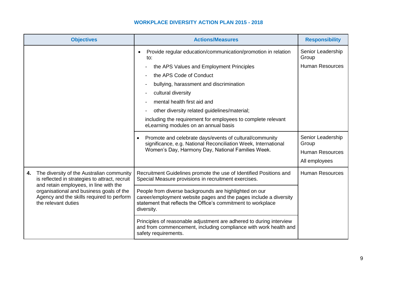| <b>Objectives</b>                                                                                                                           | <b>Actions/Measures</b>                                                                                                                                                                                   | <b>Responsibility</b>      |
|---------------------------------------------------------------------------------------------------------------------------------------------|-----------------------------------------------------------------------------------------------------------------------------------------------------------------------------------------------------------|----------------------------|
|                                                                                                                                             | Provide regular education/communication/promotion in relation<br>$\bullet$<br>to:                                                                                                                         | Senior Leadership<br>Group |
|                                                                                                                                             | the APS Values and Employment Principles                                                                                                                                                                  | <b>Human Resources</b>     |
|                                                                                                                                             | the APS Code of Conduct                                                                                                                                                                                   |                            |
|                                                                                                                                             | bullying, harassment and discrimination                                                                                                                                                                   |                            |
|                                                                                                                                             | cultural diversity                                                                                                                                                                                        |                            |
|                                                                                                                                             | mental health first aid and                                                                                                                                                                               |                            |
|                                                                                                                                             | other diversity related guidelines/material;                                                                                                                                                              |                            |
|                                                                                                                                             | including the requirement for employees to complete relevant<br>eLearning modules on an annual basis                                                                                                      |                            |
|                                                                                                                                             | Promote and celebrate days/events of cultural/community<br>$\bullet$<br>significance, e.g. National Reconciliation Week, International<br>Women's Day, Harmony Day, National Families Week.               | Senior Leadership<br>Group |
|                                                                                                                                             |                                                                                                                                                                                                           | <b>Human Resources</b>     |
|                                                                                                                                             |                                                                                                                                                                                                           | All employees              |
| The diversity of the Australian community<br>4.<br>is reflected in strategies to attract, recruit<br>and retain employees, in line with the | Recruitment Guidelines promote the use of Identified Positions and<br>Special Measure provisions in recruitment exercises.                                                                                | <b>Human Resources</b>     |
| organisational and business goals of the<br>Agency and the skills required to perform<br>the relevant duties                                | People from diverse backgrounds are highlighted on our<br>career/employment website pages and the pages include a diversity<br>statement that reflects the Office's commitment to workplace<br>diversity. |                            |
|                                                                                                                                             | Principles of reasonable adjustment are adhered to during interview<br>and from commencement, including compliance with work health and<br>safety requirements.                                           |                            |